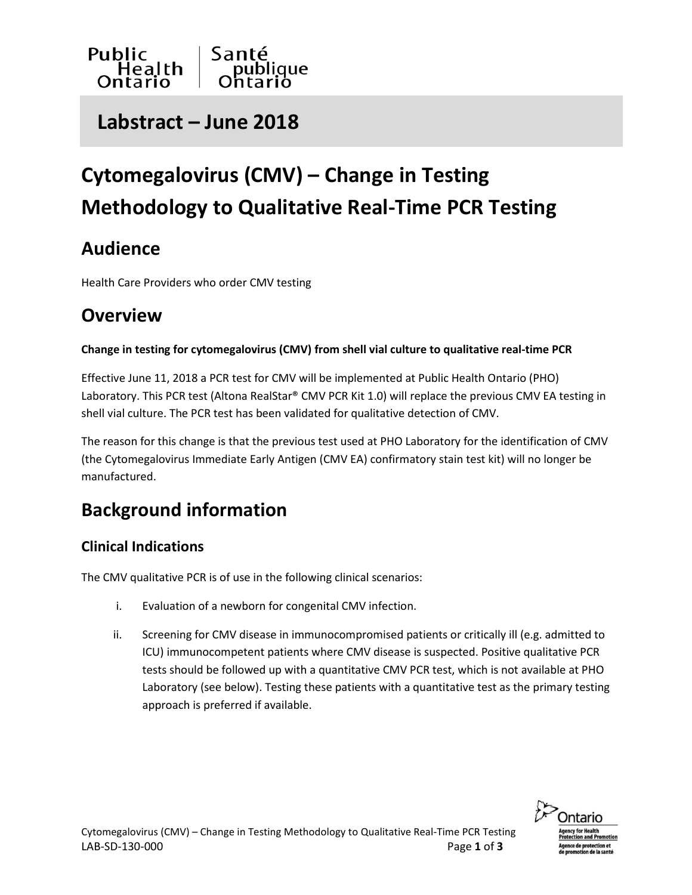

## **Labstract – June 2018**

# **Cytomegalovirus (CMV) – Change in Testing Methodology to Qualitative Real-Time PCR Testing**

### **Audience**

Health Care Providers who order CMV testing

### **Overview**

#### **Change in testing for cytomegalovirus (CMV) from shell vial culture to qualitative real-time PCR**

Effective June 11, 2018 a PCR test for CMV will be implemented at Public Health Ontario (PHO) Laboratory. This PCR test (Altona RealStar® CMV PCR Kit 1.0) will replace the previous CMV EA testing in shell vial culture. The PCR test has been validated for qualitative detection of CMV.

The reason for this change is that the previous test used at PHO Laboratory for the identification of CMV (the Cytomegalovirus Immediate Early Antigen (CMV EA) confirmatory stain test kit) will no longer be manufactured.

### **Background information**

### **Clinical Indications**

The CMV qualitative PCR is of use in the following clinical scenarios:

- i. Evaluation of a newborn for congenital CMV infection.
- ii. Screening for CMV disease in immunocompromised patients or critically ill (e.g. admitted to ICU) immunocompetent patients where CMV disease is suspected. Positive qualitative PCR tests should be followed up with a quantitative CMV PCR test, which is not available at PHO Laboratory (see below). Testing these patients with a quantitative test as the primary testing approach is preferred if available.

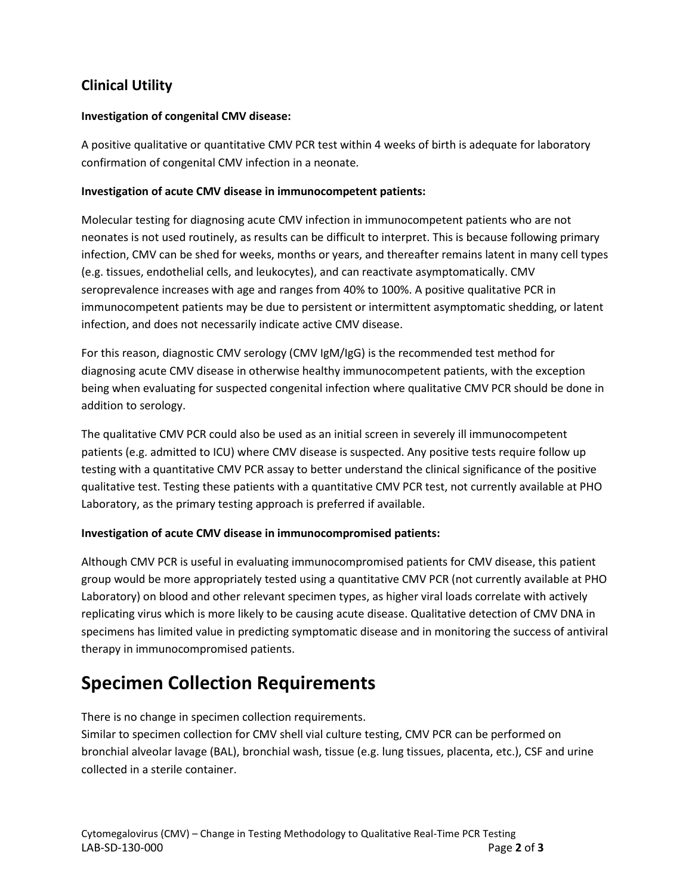### **Clinical Utility**

#### **Investigation of congenital CMV disease:**

A positive qualitative or quantitative CMV PCR test within 4 weeks of birth is adequate for laboratory confirmation of congenital CMV infection in a neonate.

#### **Investigation of acute CMV disease in immunocompetent patients:**

Molecular testing for diagnosing acute CMV infection in immunocompetent patients who are not neonates is not used routinely, as results can be difficult to interpret. This is because following primary infection, CMV can be shed for weeks, months or years, and thereafter remains latent in many cell types (e.g. tissues, endothelial cells, and leukocytes), and can reactivate asymptomatically. CMV seroprevalence increases with age and ranges from 40% to 100%. A positive qualitative PCR in immunocompetent patients may be due to persistent or intermittent asymptomatic shedding, or latent infection, and does not necessarily indicate active CMV disease.

For this reason, diagnostic CMV serology (CMV IgM/IgG) is the recommended test method for diagnosing acute CMV disease in otherwise healthy immunocompetent patients, with the exception being when evaluating for suspected congenital infection where qualitative CMV PCR should be done in addition to serology.

The qualitative CMV PCR could also be used as an initial screen in severely ill immunocompetent patients (e.g. admitted to ICU) where CMV disease is suspected. Any positive tests require follow up testing with a quantitative CMV PCR assay to better understand the clinical significance of the positive qualitative test. Testing these patients with a quantitative CMV PCR test, not currently available at PHO Laboratory, as the primary testing approach is preferred if available.

#### **Investigation of acute CMV disease in immunocompromised patients:**

Although CMV PCR is useful in evaluating immunocompromised patients for CMV disease, this patient group would be more appropriately tested using a quantitative CMV PCR (not currently available at PHO Laboratory) on blood and other relevant specimen types, as higher viral loads correlate with actively replicating virus which is more likely to be causing acute disease. Qualitative detection of CMV DNA in specimens has limited value in predicting symptomatic disease and in monitoring the success of antiviral therapy in immunocompromised patients.

### **Specimen Collection Requirements**

There is no change in specimen collection requirements.

Similar to specimen collection for CMV shell vial culture testing, CMV PCR can be performed on bronchial alveolar lavage (BAL), bronchial wash, tissue (e.g. lung tissues, placenta, etc.), CSF and urine collected in a sterile container.